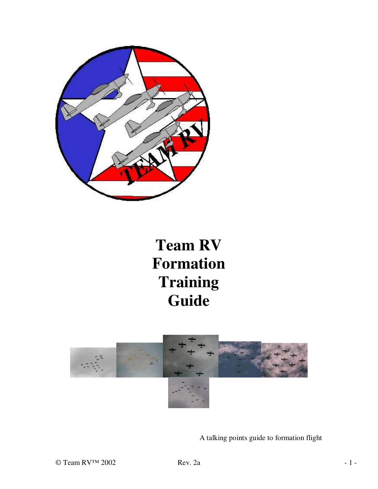

# **Team RV Formation Training Guide**



A talking points guide to formation flight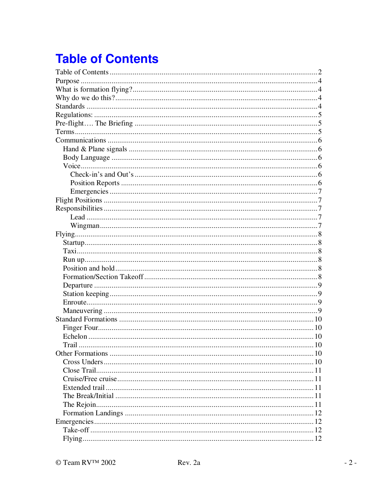## **Table of Contents**

| Trail |  |
|-------|--|
|       |  |
|       |  |
|       |  |
|       |  |
|       |  |
|       |  |
|       |  |
|       |  |
|       |  |
|       |  |
|       |  |
|       |  |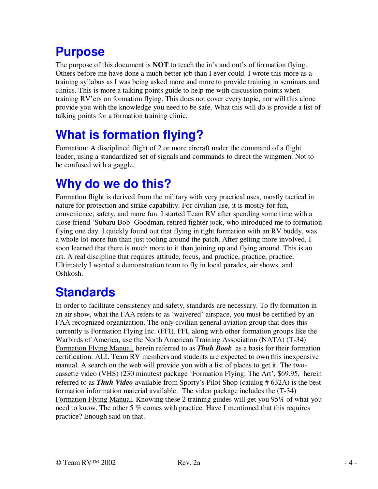## **Purpose**

The purpose of this document is **NOT** to teach the in's and out's of formation flying. Others before me have done a much better job than I ever could. I wrote this more as a training syllabus as I was being asked more and more to provide training in seminars and clinics. This is more a talking points guide to help me with discussion points when training RV' ers on formation flying. This does not cover every topic, nor will this alone provide you with the knowledge you need to be safe. What this will do is provide a list of talking points for a formation training clinic.

## **What is formation flying?**

Formation: A disciplined flight of 2 or more aircraft under the command of a flight leader, using a standardized set of signals and commands to direct the wingmen. Not to be confused with a gaggle.

## **Why do we do this?**

Formation flight is derived from the military with very practical uses, mostly tactical in nature for protection and strike capability. For civilian use, it is mostly for fun, convenience, safety, and more fun. I started Team RV after spending some time with a close friend 'Subaru Bob' Goodman, retired fighter jock, who introduced me to formation flying one day. I quickly found out that flying in tight formation with an RV buddy, was a whole lot more fun than just tooling around the patch. After getting more involved, I soon learned that there is much more to it than joining up and flying around. This is an art. A real discipline that requires attitude, focus, and practice, practice, practice. Ultimately I wanted a demonstration team to fly in local parades, air shows, and Oshkosh.

## **Standards**

In order to facilitate consistency and safety, standards are necessary. To fly formation in an air show, what the FAA refers to as 'waivered' airspace, you must be certified by an FAA recognized organization. The only civilian general aviation group that does this currently is Formation Flying Inc. (FFI). FFI, along with other formation groups like the Warbirds of America, use the North American Training Association (NATA) (T-34) Formation Flying Manual, herein referred to as *Thuh Book* as a basis for their formation certification. ALL Team RV members and students are expected to own this inexpensive manual. A search on the web will provide you with a list of places to get it. The twocassette video (VHS) (230 minutes) package 'Formation Flying: The Art', \$69.95, herein referred to as *Thuh Video* available from Sporty's Pilot Shop (catalog # 632A) is the best formation information material available. The video package includes the (T-34) Formation Flying Manual. Knowing these 2 training guides will get you 95% of what you need to know. The other 5 % comes with practice. Have I mentioned that this requires practice? Enough said on that.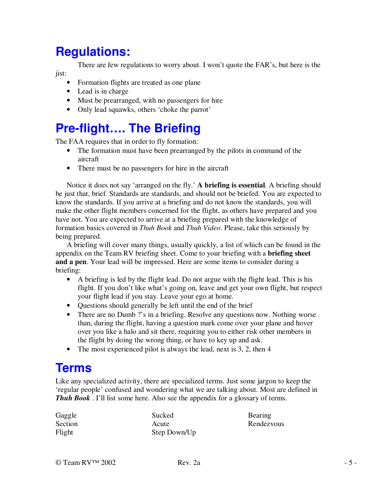## **Regulations:**

There are few regulations to worry about. I won't quote the FAR's, but here is the jist:

- Formation flights are treated as one plane
- Lead is in charge
- Must be prearranged, with no passengers for hire
- Only lead squawks, others 'choke the parrot'

## **Pre-flight…. The Briefing**

The FAA requires that in order to fly formation:

- The formation must have been prearranged by the pilots in command of the aircraft
- There must be no passengers for hire in the aircraft

Notice it does not say 'arranged on the fly.' **A briefing is essential**. A briefing should be just that, brief. Standards are standards, and should not be briefed. You are expected to know the standards. If you arrive at a briefing and do not know the standards, you will make the other flight members concerned for the flight, as others have prepared and you have not. You are expected to arrive at a briefing prepared with the knowledge of formation basics covered in *Thuh Book* and *Thuh Video*. Please, take this seriously by being prepared.

A briefing will cover many things, usually quickly, a list of which can be found in the appendix on the Team RV briefing sheet. Come to your briefing with a **briefing sheet and a pen**. Your lead will be impressed. Here are some items to consider during a briefing:

- A briefing is led by the flight lead. Do not argue with the flight lead. This is his flight. If you don't like what's going on, leave and get your own flight, but respect your flight lead if you stay. Leave your ego at home.
- Questions should generally be left until the end of the brief
- There are no Dumb ?'s in a briefing. Resolve any questions now. Nothing worse than, during the flight, having a question mark come over your plane and hover over you like a halo and sit there, requiring you to either risk other members in the flight by doing the wrong thing, or have to key up and ask.
- The most experienced pilot is always the lead, next is 3, 2, then 4

## **Terms**

Like any specialized activity, there are specialized terms. Just some jargon to keep the 'regular people' confused and wondering what we are talking about. Most are defined in *Thuh Book*. I'll list some here. Also see the appendix for a glossary of terms.

| Gaggle  | Sucked       | Bearing    |
|---------|--------------|------------|
| Section | Acute        | Rendezvous |
| Flight  | Step Down/Up |            |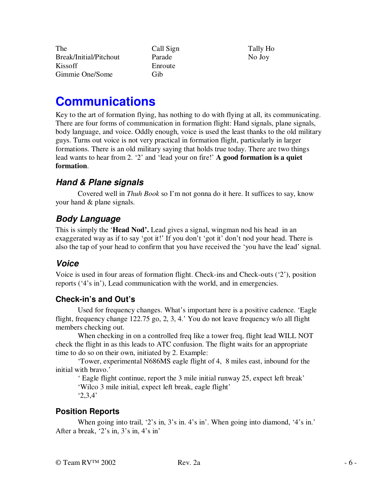The Break/Initial/Pitchout Kissoff Gimmie One/Some

Call Sign Parade Enroute Gib

Tally Ho No Joy

## **Communications**

Key to the art of formation flying, has nothing to do with flying at all, its communicating. There are four forms of communication in formation flight: Hand signals, plane signals, body language, and voice. Oddly enough, voice is used the least thanks to the old military guys. Turns out voice is not very practical in formation flight, particularly in larger formations. There is an old military saying that holds true today. There are two things lead wants to hear from 2. '2' and 'lead your on fire!' **A good formation is a quiet formation**.

### *Hand & Plane signals*

Covered well in *Thuh Book* so I'm not gonna do it here. It suffices to say, know your hand & plane signals.

### *Body Language*

This is simply the '**Head Nod'.** Lead gives a signal, wingman nod his head in an exaggerated way as if to say 'got it!' If you don't 'got it' don't nod your head. There is also the tap of your head to confirm that you have received the 'you have the lead' signal.

### *Voice*

Voice is used in four areas of formation flight. Check-ins and Check-outs ('2'), position reports ('4's in'), Lead communication with the world, and in emergencies.

#### **Check-in's and Out's**

Used for frequency changes. What's important here is a positive cadence. 'Eagle flight, frequency change 122.75 go, 2, 3, 4.' You do not leave frequency w/o all flight members checking out.

When checking in on a controlled freq like a tower freq, flight lead WILL NOT check the flight in as this leads to ATC confusion. The flight waits for an appropriate time to do so on their own, initiated by 2. Example:

'Tower, experimental N686MS eagle flight of 4, 8 miles east, inbound for the initial with bravo.'

' Eagle flight continue, report the 3 mile initial runway 25, expect left break' 'Wilco 3 mile initial, expect left break, eagle flight' '2,3,4'

#### **Position Reports**

When going into trail, '2's in, 3's in. 4's in'. When going into diamond, '4's in.' After a break, '2's in, 3's in, 4's in'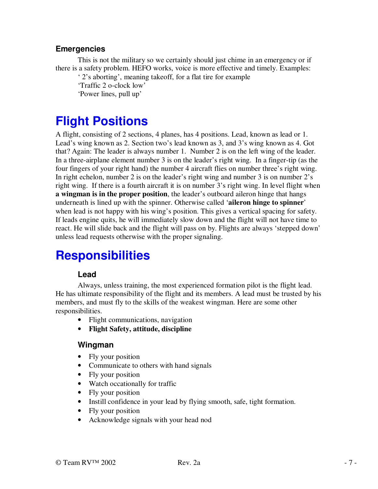#### **Emergencies**

This is not the military so we certainly should just chime in an emergency or if there is a safety problem. HEFO works, voice is more effective and timely. Examples:

' 2's aborting' , meaning takeoff, for a flat tire for example 'Traffic 2 o-clock low'

'Power lines, pull up'

## **Flight Positions**

A flight, consisting of 2 sections, 4 planes, has 4 positions. Lead, known as lead or 1. Lead's wing known as 2. Section two's lead known as 3, and 3's wing known as 4. Got that? Again: The leader is always number 1. Number 2 is on the left wing of the leader. In a three-airplane element number 3 is on the leader's right wing. In a finger-tip (as the four fingers of your right hand) the number 4 aircraft flies on number three's right wing. In right echelon, number 2 is on the leader's right wing and number 3 is on number 2's right wing. If there is a fourth aircraft it is on number 3's right wing. In level flight when **a wingman is in the proper position**, the leader's outboard aileron hinge that hangs underneath is lined up with the spinner. Otherwise called '**aileron hinge to spinner**' when lead is not happy with his wing's position. This gives a vertical spacing for safety. If leads engine quits, he will immediately slow down and the flight will not have time to react. He will slide back and the flight will pass on by. Flights are always 'stepped down' unless lead requests otherwise with the proper signaling.

## **Responsibilities**

#### **Lead**

Always, unless training, the most experienced formation pilot is the flight lead. He has ultimate responsibility of the flight and its members. A lead must be trusted by his members, and must fly to the skills of the weakest wingman. Here are some other responsibilities.

- Flight communications, navigation
- **Flight Safety, attitude, discipline**

#### **Wingman**

- Fly your position
- Communicate to others with hand signals
- Fly your position
- Watch occationally for traffic
- Fly your position
- Instill confidence in your lead by flying smooth, safe, tight formation.
- Fly your position
- Acknowledge signals with your head nod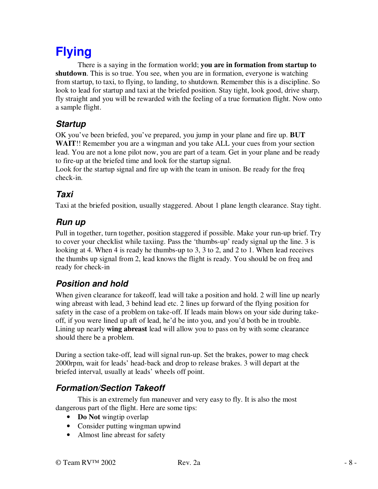## **Flying**

There is a saying in the formation world; **you are in formation from startup to shutdown**. This is so true. You see, when you are in formation, everyone is watching from startup, to taxi, to flying, to landing, to shutdown. Remember this is a discipline. So look to lead for startup and taxi at the briefed position. Stay tight, look good, drive sharp, fly straight and you will be rewarded with the feeling of a true formation flight. Now onto a sample flight.

### *Startup*

OK you' ve been briefed, you' ve prepared, you jump in your plane and fire up. **BUT WAIT**!! Remember you are a wingman and you take ALL your cues from your section lead. You are not a lone pilot now, you are part of a team. Get in your plane and be ready to fire-up at the briefed time and look for the startup signal.

Look for the startup signal and fire up with the team in unison. Be ready for the freq check-in.

### *Taxi*

Taxi at the briefed position, usually staggered. About 1 plane length clearance. Stay tight.

### *Run up*

Pull in together, turn together, position staggered if possible. Make your run-up brief. Try to cover your checklist while taxiing. Pass the 'thumbs-up' ready signal up the line. 3 is looking at 4. When 4 is ready he thumbs-up to 3, 3 to 2, and 2 to 1. When lead receives the thumbs up signal from 2, lead knows the flight is ready. You should be on freq and ready for check-in

### *Position and hold*

When given clearance for takeoff, lead will take a position and hold. 2 will line up nearly wing abreast with lead, 3 behind lead etc. 2 lines up forward of the flying position for safety in the case of a problem on take-off. If leads main blows on your side during takeoff, if you were lined up aft of lead, he' d be into you, and you' d both be in trouble. Lining up nearly **wing abreast** lead will allow you to pass on by with some clearance should there be a problem.

During a section take-off, lead will signal run-up. Set the brakes, power to mag check 2000rpm, wait for leads' head-back and drop to release brakes. 3 will depart at the briefed interval, usually at leads' wheels off point.

### *Formation/Section Takeoff*

This is an extremely fun maneuver and very easy to fly. It is also the most dangerous part of the flight. Here are some tips:

- **Do Not** wingtip overlap
- Consider putting wingman upwind
- Almost line abreast for safety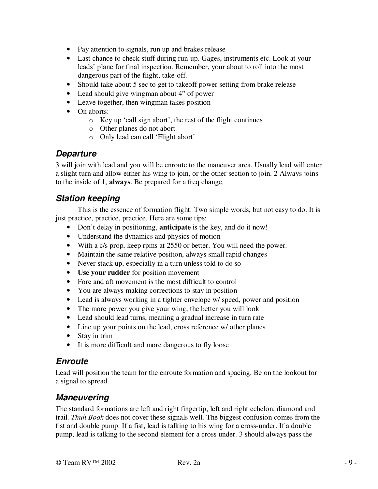- Pay attention to signals, run up and brakes release
- Last chance to check stuff during run-up. Gages, instruments etc. Look at your leads' plane for final inspection. Remember, your about to roll into the most dangerous part of the flight, take-off.
- Should take about 5 sec to get to takeoff power setting from brake release
- Lead should give wingman about 4" of power
- Leave together, then wingman takes position
- On aborts:
	- o Key up 'call sign abort' , the rest of the flight continues
	- o Other planes do not abort
	- o Only lead can call 'Flight abort'

#### *Departure*

3 will join with lead and you will be enroute to the maneuver area. Usually lead will enter a slight turn and allow either his wing to join, or the other section to join. 2 Always joins to the inside of 1, **always**. Be prepared for a freq change.

#### *Station keeping*

This is the essence of formation flight. Two simple words, but not easy to do. It is just practice, practice, practice. Here are some tips:

- Don't delay in positioning, **anticipate** is the key, and do it now!
- Understand the dynamics and physics of motion
- With a c/s prop, keep rpms at 2550 or better. You will need the power.
- Maintain the same relative position, always small rapid changes
- Never stack up, especially in a turn unless told to do so
- **Use your rudder** for position movement
- Fore and aft movement is the most difficult to control
- You are always making corrections to stay in position
- Lead is always working in a tighter envelope w/ speed, power and position
- The more power you give your wing, the better you will look
- Lead should lead turns, meaning a gradual increase in turn rate
- Line up your points on the lead, cross reference w/ other planes
- Stay in trim
- It is more difficult and more dangerous to fly loose

#### *Enroute*

Lead will position the team for the enroute formation and spacing. Be on the lookout for a signal to spread.

#### *Maneuvering*

The standard formations are left and right fingertip, left and right echelon, diamond and trail. *Thuh Book* does not cover these signals well. The biggest confusion comes from the fist and double pump. If a fist, lead is talking to his wing for a cross-under. If a double pump, lead is talking to the second element for a cross under. 3 should always pass the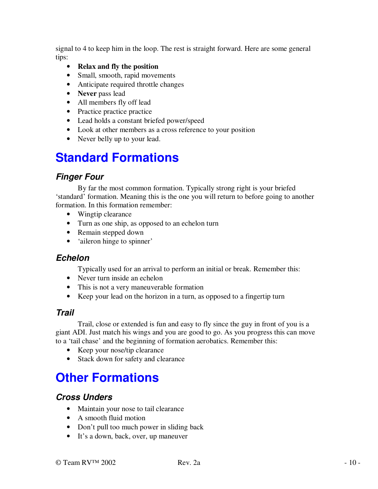signal to 4 to keep him in the loop. The rest is straight forward. Here are some general tips:

- **Relax and fly the position**
- Small, smooth, rapid movements
- Anticipate required throttle changes
- **Never** pass lead
- All members fly off lead
- Practice practice practice
- Lead holds a constant briefed power/speed
- Look at other members as a cross reference to your position
- Never belly up to your lead.

## **Standard Formations**

#### *Finger Four*

By far the most common formation. Typically strong right is your briefed 'standard' formation. Meaning this is the one you will return to before going to another formation. In this formation remember:

- Wingtip clearance
- Turn as one ship, as opposed to an echelon turn
- Remain stepped down
- 'aileron hinge to spinner'

#### *Echelon*

Typically used for an arrival to perform an initial or break. Remember this:

- Never turn inside an echelon
- This is not a very maneuverable formation
- Keep your lead on the horizon in a turn, as opposed to a fingertip turn

#### *Trail*

Trail, close or extended is fun and easy to fly since the guy in front of you is a giant ADI. Just match his wings and you are good to go. As you progress this can move to a 'tail chase' and the beginning of formation aerobatics. Remember this:

- Keep your nose/tip clearance
- Stack down for safety and clearance

## **Other Formations**

#### *Cross Unders*

- Maintain your nose to tail clearance
- A smooth fluid motion
- Don't pull too much power in sliding back
- It's a down, back, over, up maneuver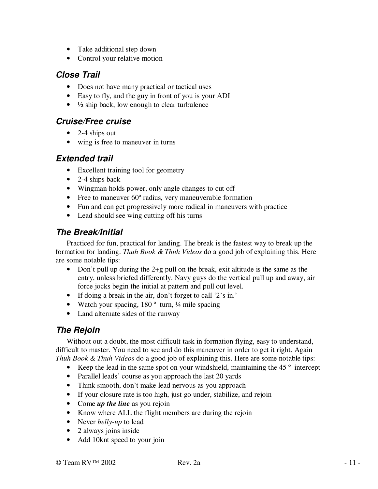- Take additional step down
- Control your relative motion

#### *Close Trail*

- Does not have many practical or tactical uses
- Easy to fly, and the guy in front of you is your ADI
- $\bullet$   $\frac{1}{2}$  ship back, low enough to clear turbulence

#### *Cruise/Free cruise*

- 2-4 ships out
- wing is free to maneuver in turns

#### *Extended trail*

- Excellent training tool for geometry
- $\bullet$  2-4 ships back
- Wingman holds power, only angle changes to cut off
- Free to maneuver 60° radius, very maneuverable formation
- Fun and can get progressively more radical in maneuvers with practice
- Lead should see wing cutting off his turns

#### *The Break/Initial*

Practiced for fun, practical for landing. The break is the fastest way to break up the formation for landing. *Thuh Book & Thuh Videos* do a good job of explaining this. Here are some notable tips:

- Don't pull up during the  $2+g$  pull on the break, exit altitude is the same as the entry, unless briefed differently. Navy guys do the vertical pull up and away, air force jocks begin the initial at pattern and pull out level.
- If doing a break in the air, don't forget to call  $2$ 's in.'
- Watch your spacing,  $180^\circ$  turn,  $\frac{1}{4}$  mile spacing
- Land alternate sides of the runway

### *The Rejoin*

Without out a doubt, the most difficult task in formation flying, easy to understand, difficult to master. You need to see and do this maneuver in order to get it right. Again *Thuh Book & Thuh Videos* do a good job of explaining this. Here are some notable tips:

- Keep the lead in the same spot on your windshield, maintaining the 45 ° intercept
- Parallel leads' course as you approach the last 20 yards
- Think smooth, don't make lead nervous as you approach
- If your closure rate is too high, just go under, stabilize, and rejoin
- Come *up the line* as you rejoin
- Know where ALL the flight members are during the rejoin
- Never *belly-up* to lead
- 2 always joins inside
- Add 10knt speed to your join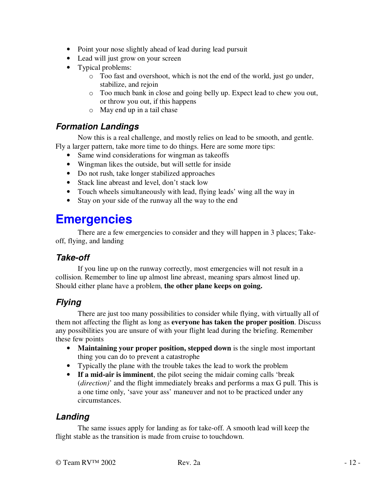- Point your nose slightly ahead of lead during lead pursuit
- Lead will just grow on your screen
- Typical problems:
	- o Too fast and overshoot, which is not the end of the world, just go under, stabilize, and rejoin
	- o Too much bank in close and going belly up. Expect lead to chew you out, or throw you out, if this happens
	- o May end up in a tail chase

#### *Formation Landings*

Now this is a real challenge, and mostly relies on lead to be smooth, and gentle. Fly a larger pattern, take more time to do things. Here are some more tips:

- Same wind considerations for wingman as takeoffs
- Wingman likes the outside, but will settle for inside
- Do not rush, take longer stabilized approaches
- Stack line abreast and level, don't stack low
- Touch wheels simultaneously with lead, flying leads' wing all the way in
- Stay on your side of the runway all the way to the end

## **Emergencies**

There are a few emergencies to consider and they will happen in 3 places; Takeoff, flying, and landing

### *Take-off*

If you line up on the runway correctly, most emergencies will not result in a collision. Remember to line up almost line abreast, meaning spars almost lined up. Should either plane have a problem, **the other plane keeps on going.**

### *Flying*

There are just too many possibilities to consider while flying, with virtually all of them not affecting the flight as long as **everyone has taken the proper position**. Discuss any possibilities you are unsure of with your flight lead during the briefing. Remember these few points

- **Maintaining your proper position, stepped down** is the single most important thing you can do to prevent a catastrophe
- Typically the plane with the trouble takes the lead to work the problem
- **If a mid-air is imminent**, the pilot seeing the midair coming calls 'break (*direction)*' and the flight immediately breaks and performs a max G pull. This is a one time only, 'save your ass' maneuver and not to be practiced under any circumstances.

#### *Landing*

The same issues apply for landing as for take-off. A smooth lead will keep the flight stable as the transition is made from cruise to touchdown.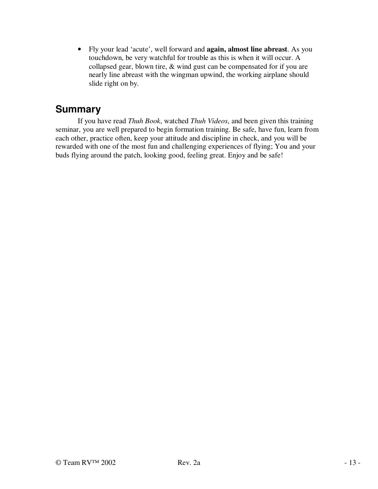• Fly your lead 'acute' , well forward and **again, almost line abreast**. As you touchdown, be very watchful for trouble as this is when it will occur. A collapsed gear, blown tire, & wind gust can be compensated for if you are nearly line abreast with the wingman upwind, the working airplane should slide right on by.

### **Summary**

If you have read *Thuh Book*, watched *Thuh Videos*, and been given this training seminar, you are well prepared to begin formation training. Be safe, have fun, learn from each other, practice often, keep your attitude and discipline in check, and you will be rewarded with one of the most fun and challenging experiences of flying; You and your buds flying around the patch, looking good, feeling great. Enjoy and be safe!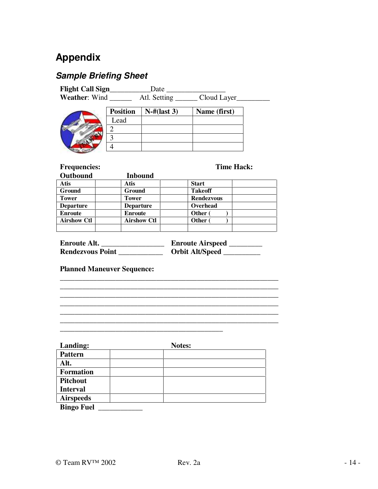### **Appendix**

### *Sample Briefing Sheet*

| <b>Flight Call Sign_</b> |                 | Date           |                   |
|--------------------------|-----------------|----------------|-------------------|
| <b>Weather: Wind</b>     |                 | Atl. Setting   | Cloud Layer       |
|                          | <b>Position</b> | $N$ -#(last 3) | Name (first)      |
|                          | Lead            |                |                   |
|                          |                 |                |                   |
|                          | 2               |                |                   |
| <b>Conta</b> Geor        |                 |                |                   |
|                          |                 |                |                   |
| <b>Frequencies:</b>      |                 |                | <b>Time Hack:</b> |

| Outbound           | <b>Inbound</b>     |                   |  |
|--------------------|--------------------|-------------------|--|
| Atis               | Atis               | <b>Start</b>      |  |
| Ground             | <b>Ground</b>      | <b>Takeoff</b>    |  |
| <b>Tower</b>       | <b>Tower</b>       | <b>Rendezvous</b> |  |
| <b>Departure</b>   | <b>Departure</b>   | Overhead          |  |
| <b>Enroute</b>     | <b>Enroute</b>     | Other (           |  |
| <b>Airshow Ctl</b> | <b>Airshow Ctl</b> | Other (           |  |
|                    |                    |                   |  |

| <b>Enroute Alt.</b>     | <b>Enroute Airspeed</b> |
|-------------------------|-------------------------|
| <b>Rendezvous Point</b> | <b>Orbit Alt/Speed</b>  |

**\_\_\_\_\_\_\_\_\_\_\_\_\_\_\_\_\_\_\_\_\_\_\_\_\_\_\_\_\_\_\_\_\_\_\_\_\_\_\_\_\_\_\_\_\_\_\_\_\_\_\_\_\_\_\_\_\_\_\_ \_\_\_\_\_\_\_\_\_\_\_\_\_\_\_\_\_\_\_\_\_\_\_\_\_\_\_\_\_\_\_\_\_\_\_\_\_\_\_\_\_\_\_\_\_\_\_\_\_\_\_\_\_\_\_\_\_\_\_ \_\_\_\_\_\_\_\_\_\_\_\_\_\_\_\_\_\_\_\_\_\_\_\_\_\_\_\_\_\_\_\_\_\_\_\_\_\_\_\_\_\_\_\_\_\_\_\_\_\_\_\_\_\_\_\_\_\_\_**

\_\_\_\_\_\_\_\_\_\_\_\_\_\_\_\_\_\_\_\_\_\_\_\_\_\_\_\_\_\_\_\_\_\_\_\_\_\_\_\_\_\_\_\_\_\_\_\_\_\_\_\_\_\_\_\_\_\_\_

**\_\_\_\_\_\_\_\_\_\_\_\_\_\_\_\_**\_\_\_\_\_\_\_\_\_\_\_\_\_\_\_\_\_\_\_\_\_\_\_\_\_\_\_\_\_\_\_\_\_\_\_\_\_\_\_\_\_\_\_

**Planned Maneuver Sequence:**

| Landing:          | <b>Notes:</b> |  |
|-------------------|---------------|--|
| <b>Pattern</b>    |               |  |
| Alt.              |               |  |
| <b>Formation</b>  |               |  |
| <b>Pitchout</b>   |               |  |
| <b>Interval</b>   |               |  |
| <b>Airspeeds</b>  |               |  |
| <b>Bingo Fuel</b> |               |  |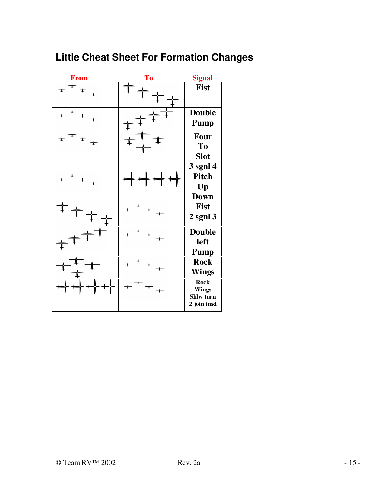## **Little Cheat Sheet For Formation Changes**

| <b>From</b>                   | <b>To</b>                     | <b>Signal</b>                                           |
|-------------------------------|-------------------------------|---------------------------------------------------------|
| $\ddot{+}$                    |                               | <b>Fist</b>                                             |
| $+$ <sup>+</sup>              |                               | <b>Double</b><br><b>Pump</b>                            |
| $+$ <sup>+</sup>              |                               | Four<br>To<br><b>Slot</b><br>3 sgnl 4                   |
| $+$ <sup><math>+</math></sup> |                               | Pitch<br>Up<br><b>Down</b>                              |
|                               |                               | <b>Fist</b><br>$2$ sgnl $3$                             |
|                               |                               | <b>Double</b><br>left<br><b>Pump</b>                    |
|                               |                               | <b>Rock</b><br><b>Wings</b>                             |
|                               | $+$ <sup><math>+</math></sup> | <b>Rock</b><br><b>Wings</b><br>Shlw turn<br>2 join insd |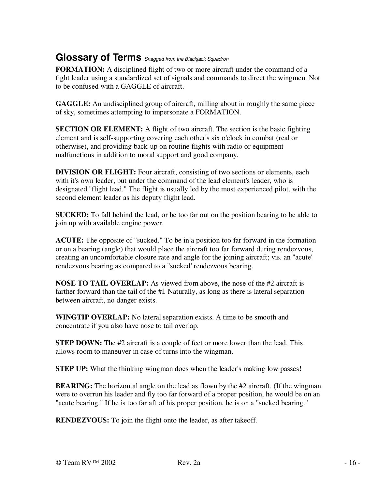### **Glossary of Terms** *Snagged from the Blackjack Squadron*

**FORMATION:** A disciplined flight of two or more aircraft under the command of a fight leader using a standardized set of signals and commands to direct the wingmen. Not to be confused with a GAGGLE of aircraft.

**GAGGLE:** An undisciplined group of aircraft, milling about in roughly the same piece of sky, sometimes attempting to impersonate a FORMATION.

**SECTION OR ELEMENT:** A flight of two aircraft. The section is the basic fighting element and is self-supporting covering each other's six o'clock in combat (real or otherwise), and providing back-up on routine flights with radio or equipment malfunctions in addition to moral support and good company.

**DIVISION OR FLIGHT:** Four aircraft, consisting of two sections or elements, each with it's own leader, but under the command of the lead element's leader, who is designated ''flight lead." The flight is usually led by the most experienced pilot, with the second element leader as his deputy flight lead.

**SUCKED:** To fall behind the lead, or be too far out on the position bearing to be able to join up with available engine power.

**ACUTE:** The opposite of "sucked." To be in a position too far forward in the formation or on a bearing (angle) that would place the aircraft too far forward during rendezvous, creating an uncomfortable closure rate and angle for the joining aircraft; vis. an "acute' rendezvous bearing as compared to a "sucked' rendezvous bearing.

**NOSE TO TAIL OVERLAP:** As viewed from above, the nose of the #2 aircraft is farther forward than the tail of the #l. Naturally, as long as there is lateral separation between aircraft, no danger exists.

**WINGTIP OVERLAP:** No lateral separation exists. A time to be smooth and concentrate if you also have nose to tail overlap.

**STEP DOWN:** The #2 aircraft is a couple of feet or more lower than the lead. This allows room to maneuver in case of turns into the wingman.

**STEP UP:** What the thinking wingman does when the leader's making low passes!

**BEARING:** The horizontal angle on the lead as flown by the #2 aircraft. (If the wingman were to overrun his leader and fly too far forward of a proper position, he would be on an "acute bearing." If he is too far aft of his proper position, he is on a "sucked bearing."

**RENDEZVOUS:** To join the flight onto the leader, as after takeoff.